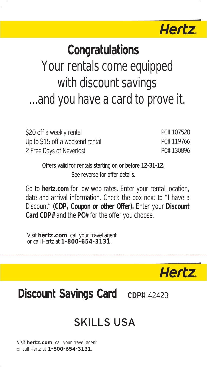

## **Congratulations**

# Your rentals come equipped with discount savings ...and you have a card to prove it.

| \$20 off a weekly rental        | PC# 107520 |
|---------------------------------|------------|
| Up to \$15 off a weekend rental | PC#119766  |
| 2 Free Days of Neverlost        | PC#130896  |

Offers valid for rentals starting on or before 12-31-12. See reverse for offer details.

Go to **hertz.com** for low web rates. Enter your rental location, date and arrival information. Check the box next to "I have a Discount" **(CDP, Coupon or other Offer).** Enter your **Discount Card CDP#** and the **PC#** for the offer you choose.

Visit **hertz.com**, call your travel agent or call Hertz at **1-800-654-3131**.

**Hertz** 

### **Discount Savings Card** c<sub>DP#</sub> 42423

### SKILLS USA

Visit hertz.com, call your travel agent or call Hertz at 1-800-654-3131.